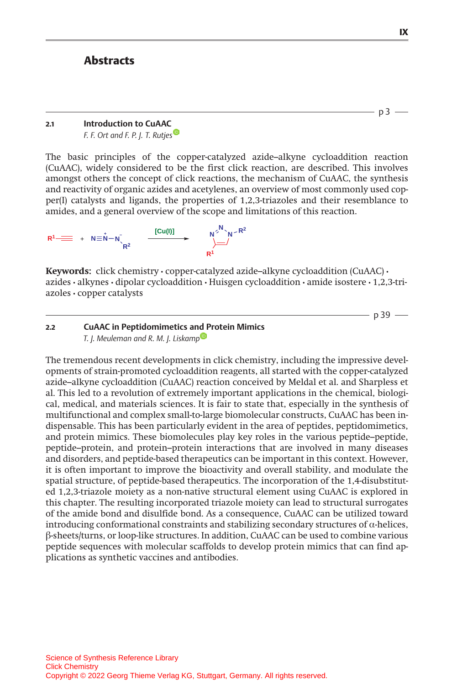# **Abstracts**

## 2.1 Introduction to CuAAC

F. F. Ort and F. P. J. T. Rutjes<sup>®</sup>

The basic principles of the copper-catalyzed azide–alkyne cycloaddition reaction (CuAAC), widely considered to be the first click reaction, are described. This involves amongst others the concept of click reactions, the mechanism of CuAAC, the synthesis and reactivity of organic azides and acetylenes, an overview of most commonly used copper(I) catalysts and ligands, the properties of 1,2,3-triazoles and their resemblance to amides, and a general overview of the scope and limitations of this reaction.



Keywords: click chemistry · copper-catalyzed azide-alkyne cycloaddition (CuAAC) · azides • alkynes • dipolar cycloaddition • Huisgen cycloaddition • amide isostere • 1,2,3-triazoles • copper catalysts

 $-$  p 39  $-$ 

## 2.2 CuAAC in Peptidomimetics and Protein Mimics T. J. Meuleman and R. M. J. Liskamp

The tremendous recent developments in click chemistry, including the impressive developments of strain-promoted cycloaddition reagents, all started with the copper-catalyzed azide–alkyne cycloaddition (CuAAC) reaction conceived by Meldal et al. and Sharpless et al. This led to a revolution of extremely important applications in the chemical, biological, medical, and materials sciences. It is fair to state that, especially in the synthesis of multifunctional and complex small-to-large biomolecular constructs, CuAAC has been indispensable. This has been particularly evident in the area of peptides, peptidomimetics, and protein mimics. These biomolecules play key roles in the various peptide–peptide, peptide–protein, and protein–protein interactions that are involved in many diseases and disorders, and peptide-based therapeutics can be important in this context. However, it is often important to improve the bioactivity and overall stability, and modulate the spatial structure, of peptide-based therapeutics. The incorporation of the 1,4-disubstituted 1,2,3-triazole moiety as a non-native structural element using CuAAC is explored in this chapter. The resulting incorporated triazole moiety can lead to structural surrogates of the amide bond and disulfide bond. As a consequence, CuAAC can be utilized toward introducing conformational constraints and stabilizing secondary structures of  $\alpha$ -helices, --sheets/turns, or loop-like structures. In addition, CuAAC can be used to combine various peptide sequences with molecular scaffolds to develop protein mimics that can find applications as synthetic vaccines and antibodies.

 $-$  p3  $-$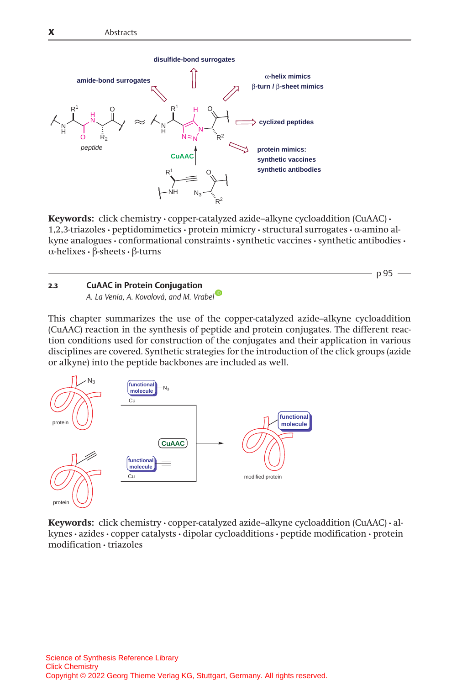

Keywords: click chemistry · copper-catalyzed azide-alkyne cycloaddition (CuAAC) · 1,2,3-triazoles • peptidomimetics • protein mimicry • structural surrogates •  $\alpha$ -amino alkyne analogues • conformational constraints • synthetic vaccines • synthetic antibodies •  $\alpha$ -helixes •  $\beta$ -sheets •  $\beta$ -turns

 $-p95$  —

# 2.3 CuAAC in Protein Conjugation

A. La Venia, A. Kova[l](http://orcid.org/0000-0001-6633-4351)ová, and M. Vrabel

This chapter summarizes the use of the copper-catalyzed azide–alkyne cycloaddition (CuAAC) reaction in the synthesis of peptide and protein conjugates. The different reaction conditions used for construction of the conjugates and their application in various disciplines are covered. Synthetic strategies for the introduction of the click groups (azide or alkyne) into the peptide backbones are included as well.



Keywords: click chemistry • copper-catalyzed azide–alkyne cycloaddition (CuAAC) • alkynes • azides • copper catalysts • dipolar cycloadditions • peptide modification • protein modification • triazoles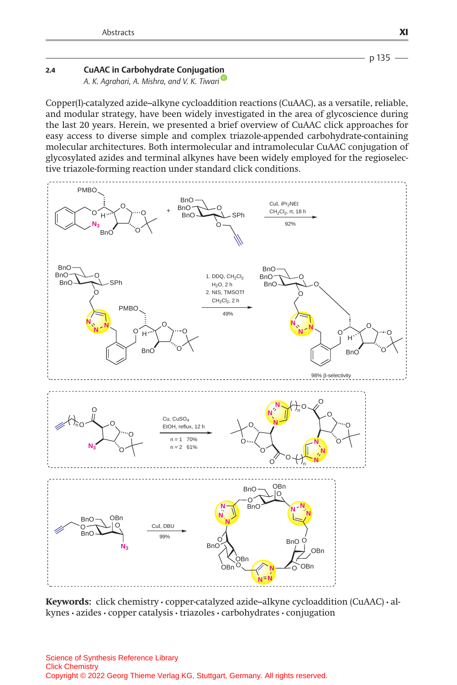

## 2.4 CuAAC in Carbohydrate Conjugatio[n](http://orcid.org/0000-0001-9244-8889)

A. K. Agrahari, A. Mishra, and V. K. Tiwari<sup>®</sup>

Copper(I)-catalyzed azide–alkyne cycloaddition reactions (CuAAC), as a versatile, reliable, and modular strategy, have been widely investigated in the area of glycoscience during the last 20 years. Herein, we presented a brief overview of CuAAC click approaches for easy access to diverse simple and complex triazole-appended carbohydrate-containing molecular architectures. Both intermolecular and intramolecular CuAAC conjugation of glycosylated azides and terminal alkynes have been widely employed for the regioselective triazole-forming reaction under standard click conditions.



Keywords: click chemistry • copper-catalyzed azide–alkyne cycloaddition (CuAAC) • alkynes • azides • copper catalysis • triazoles • carbohydrates • conjugation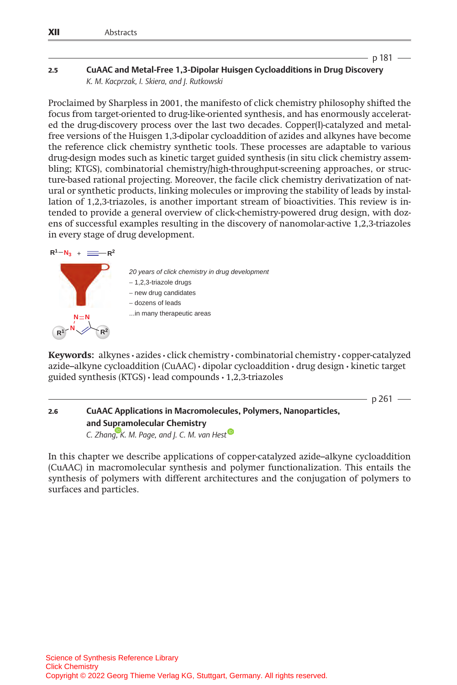$p 181 -$ 

 $-$  p 261  $-$ 

### 2.5 CuAAC and Metal-Free 1,3-Dipolar Huisgen Cycloadditions in Drug Discovery K. M. Kacprzak, I. Skiera, and J. Rutkowski

Proclaimed by Sharpless in 2001, the manifesto of click chemistry philosophy shifted the focus from target-oriented to drug-like-oriented synthesis, and has enormously accelerated the drug-discovery process over the last two decades. Copper(I)-catalyzed and metalfree versions of the Huisgen 1,3-dipolar cycloaddition of azides and alkynes have become the reference click chemistry synthetic tools. These processes are adaptable to various drug-design modes such as kinetic target guided synthesis (in situ click chemistry assembling; KTGS), combinatorial chemistry/high-throughput-screening approaches, or structure-based rational projecting. Moreover, the facile click chemistry derivatization of natural or synthetic products, linking molecules or improving the stability of leads by installation of 1,2,3-triazoles, is another important stream of bioactivities. This review is intended to provide a general overview of click-chemistry-powered drug design, with dozens of successful examples resulting in the discovery of nanomolar-active 1,2,3-triazoles in every stage of drug development.

### $R^1 - N_3 + \equiv -R^2$



*20 years of click chemistry in drug development* − 1,2,3-triazole drugs − new drug candidates − dozens of leads ...in many therapeutic areas

Keywords: alkynes • azides • click chemistry • combinatorial chemistry • copper-catalyzed azide–alkyne cycloaddition (CuAAC) • dipolar cycloaddition • drug design • kinetic target guided synthesis (KTGS) • lead compounds • 1,2,3-triazoles

2.6 CuAAC Applications in Macromolecules, Polymers, Nanoparticles, and Supramolecular Chemistry C. Zhan[g,](https://orcid.org/0000-0002-3970-254X) [K](https://orcid.org/0000-0002-3970-254X). M. Page, and J. C. M. van Hest<sup>o</sup>

In this chapter we describe applications of copper-catalyzed azide–alkyne cycloaddition (CuAAC) in macromolecular synthesis and polymer functionalization. This entails the synthesis of polymers with different architectures and the conjugation of polymers to surfaces and particles.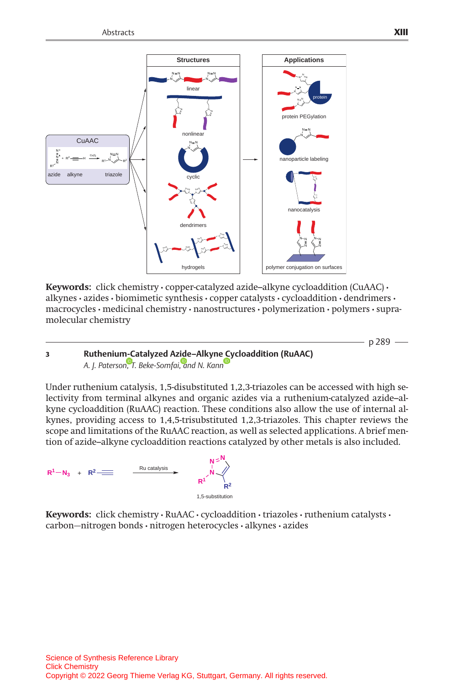

Keywords: click chemistry  $\cdot$  copper-catalyzed azide–alkyne cycloaddition (CuAAC)  $\cdot$ alkynes • azides • biomimetic synthesis • copper catalysts • cycloaddition • dendrimers • macrocycles • medicinal chemistry • nanostructures • polymerization • polymers • supramolecular chemistry

# 3 Ruthenium-Catalyzed Azide–Alkyn[e Cy](http://orcid.org/0000-0002-4457-5282)cloaddition (RuAAC) A. J. Paterso[n,](http://orcid.org/0000-0001-7169-2524) [T](http://orcid.org/0000-0001-7169-2524). Beke-Somfai[,](http://orcid.org/0000-0002-4788-3758) [a](http://orcid.org/0000-0002-4788-3758)nd N. Kann

Under ruthenium catalysis, 1,5-disubstituted 1,2,3-triazoles can be accessed with high selectivity from terminal alkynes and organic azides via a ruthenium-catalyzed azide–alkyne cycloaddition (RuAAC) reaction. These conditions also allow the use of internal alkynes, providing access to 1,4,5-trisubstituted 1,2,3-triazoles. This chapter reviews the scope and limitations of the RuAAC reaction, as well as selected applications. A brief mention of azide–alkyne cycloaddition reactions catalyzed by other metals is also included.



Keywords: click chemistry · RuAAC · cycloaddition · triazoles · ruthenium catalysts · carbon-nitrogen bonds • nitrogen heterocycles • alkynes • azides

 $-$  p 289  $-$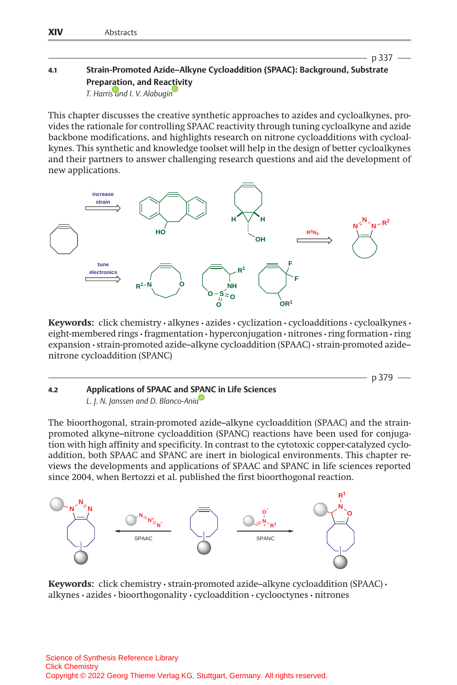# 4.1 Strain-Promoted Azide–Alkyne Cycloaddition (SPAAC): Background, Substrate Preparation, and Rea[ctiv](http://orcid.org/0000-0001-9289-3819)ity

T. Harri[s](http://orcid.org/0000-0002-2549-7944) [an](http://orcid.org/0000-0002-2549-7944)d I. V. Alabugin

This chapter discusses the creative synthetic approaches to azides and cycloalkynes, provides the rationale for controlling SPAAC reactivity through tuning cycloalkyne and azide backbone modifications, and highlights research on nitrone cycloadditions with cycloalkynes. This synthetic and knowledge toolset will help in the design of better cycloalkynes and their partners to answer challenging research questions and aid the development of new applications.



Keywords: click chemistry · alkynes · azides · cyclization · cycloadditions · cycloalkynes · eight-membered rings • fragmentation • hyperconjugation • nitrones • ring formation • ring expansion • strain-promoted azide–alkyne cycloaddition (SPAAC) • strain-promoted azide– nitrone cycloaddition (SPANC)

 $-p$  379  $-$ 

p 337

#### 4.2 Applications of SPAAC and S[PAN](http://orcid.org/0000-0001-7605-5559)C in Life Sciences L. J. N. Janssen and D. Blanco-Ania

The bioorthogonal, strain-promoted azide–alkyne cycloaddition (SPAAC) and the strainpromoted alkyne–nitrone cycloaddition (SPANC) reactions have been used for conjugation with high affinity and specificity. In contrast to the cytotoxic copper-catalyzed cycloaddition, both SPAAC and SPANC are inert in biological environments. This chapter reviews the developments and applications of SPAAC and SPANC in life sciences reported since 2004, when Bertozzi et al. published the first bioorthogonal reaction.



Keywords: click chemistry • strain-promoted azide–alkyne cycloaddition (SPAAC) • alkynes • azides • bioorthogonality • cycloaddition • cyclooctynes • nitrones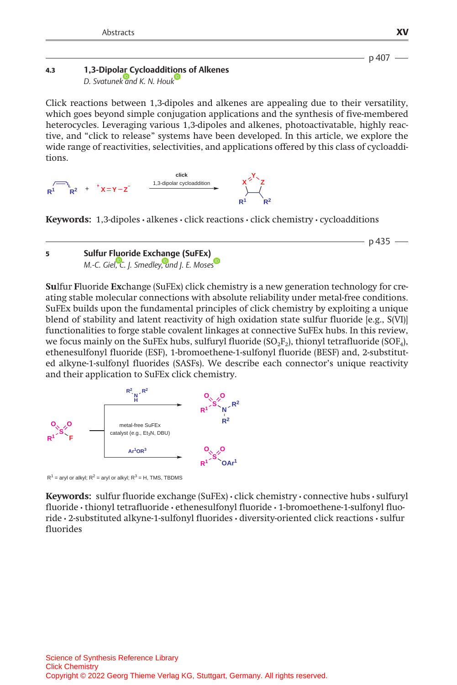### p 407

 $-$  p 435  $-$ 

#### 4.3 1,3-Dipol[ar C](http://orcid.org/0000-0003-1101-2376)ycloadditi[on](http://orcid.org/0000-0002-8387-5261)s of Alkenes D. Svatunek and K. N. Houk

Click reactions between 1,3-dipoles and alkenes are appealing due to their versatility, which goes beyond simple conjugation applications and the synthesis of five-membered heterocycles. Leveraging various 1,3-dipoles and alkenes, photoactivatable, highly reactive, and "click to release" systems have been developed. In this article, we explore the wide range of reactivities, selectivities, and applications offered by this class of cycloadditions.



**Keywords:** 1,3-dipoles  $\cdot$  alkenes  $\cdot$  click reactions  $\cdot$  click chemistry  $\cdot$  cycloadditions

## 5 Sulfur Fluoride Exchange (SuFEx) M.-C. Giel[,](http://orcid.org/0000-0001-5971-0072) [C](http://orcid.org/0000-0001-5971-0072). J. Smedle[y,](http://orcid.org/0000-0001-5110-2574) [an](http://orcid.org/0000-0001-5110-2574)d J. E. Mose[s](http://orcid.org/0000-0003-2162-3234)

Sulfur Fluoride Exchange (SuFEx) click chemistry is a new generation technology for creating stable molecular connections with absolute reliability under metal-free conditions. SuFEx builds upon the fundamental principles of click chemistry by exploiting a unique blend of stability and latent reactivity of high oxidation state sulfur fluoride [e.g., S(VI)] functionalities to forge stable covalent linkages at connective SuFEx hubs. In this review, we focus mainly on the SuFEx hubs, sulfuryl fluoride  $(SO<sub>2</sub>F<sub>2</sub>)$ , thionyl tetrafluoride  $(SOF<sub>4</sub>)$ , ethenesulfonyl fluoride (ESF), 1-bromoethene-1-sulfonyl fluoride (BESF) and, 2-substituted alkyne-1-sulfonyl fluorides (SASFs). We describe each connector's unique reactivity and their application to SuFEx click chemistry.



 $R^1$  = aryl or alkyl;  $R^2$  = aryl or alkyl;  $R^3$  = H, TMS, TBDMS

Keywords: sulfur fluoride exchange (SuFEx) • click chemistry • connective hubs • sulfuryl fluoride • thionyl tetrafluoride • ethenesulfonyl fluoride • 1-bromoethene-1-sulfonyl fluoride • 2-substituted alkyne-1-sulfonyl fluorides • diversity-oriented click reactions • sulfur fluorides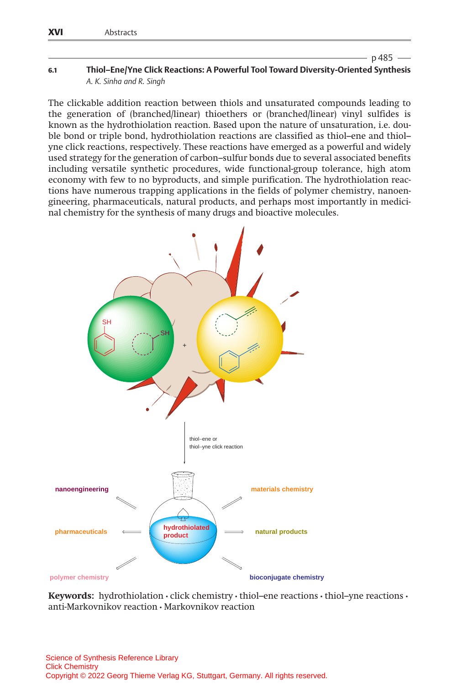$p$  485  $-$ 

#### 6.1 Thiol–Ene/Yne Click Reactions: A Powerful Tool Toward Diversity-Oriented Synthesis A. K. Sinha and R. Singh

The clickable addition reaction between thiols and unsaturated compounds leading to the generation of (branched/linear) thioethers or (branched/linear) vinyl sulfides is known as the hydrothiolation reaction. Based upon the nature of unsaturation, i.e. double bond or triple bond, hydrothiolation reactions are classified as thiol–ene and thiol– yne click reactions, respectively. These reactions have emerged as a powerful and widely used strategy for the generation of carbon–sulfur bonds due to several associated benefits including versatile synthetic procedures, wide functional-group tolerance, high atom economy with few to no byproducts, and simple purification. The hydrothiolation reactions have numerous trapping applications in the fields of polymer chemistry, nanoengineering, pharmaceuticals, natural products, and perhaps most importantly in medicinal chemistry for the synthesis of many drugs and bioactive molecules.



Keywords: hydrothiolation  $\cdot$  click chemistry  $\cdot$  thiol–ene reactions  $\cdot$  thiol–yne reactions  $\cdot$ anti-Markovnikov reaction • Markovnikov reaction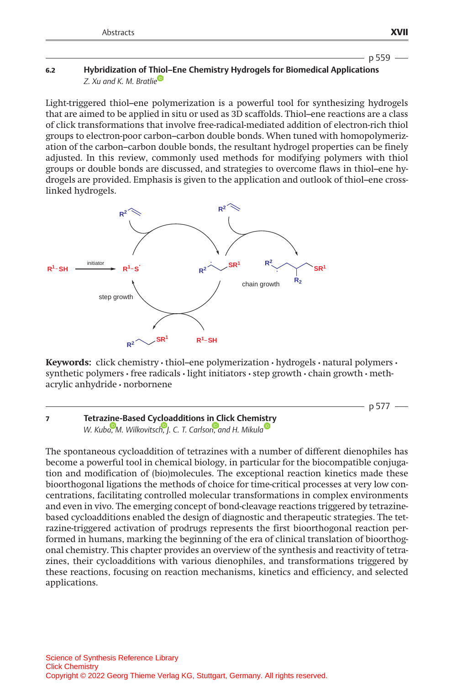## 6.2 Hybridization of T[hiol](http://orcid.org/0000-0002-5197-0176)–Ene Chemistry Hydrogels for Biomedical Applications Z. Xu and K. M. Bratlie

Light-triggered thiol–ene polymerization is a powerful tool for synthesizing hydrogels that are aimed to be applied in situ or used as 3D scaffolds. Thiol–ene reactions are a class of click transformations that involve free-radical-mediated addition of electron-rich thiol groups to electron-poor carbon–carbon double bonds. When tuned with homopolymerization of the carbon–carbon double bonds, the resultant hydrogel properties can be finely adjusted. In this review, commonly used methods for modifying polymers with thiol groups or double bonds are discussed, and strategies to overcome flaws in thiol–ene hydrogels are provided. Emphasis is given to the application and outlook of thiol–ene crosslinked hydrogels.



**Keywords:** click chemistry  $\cdot$  thiol–ene polymerization  $\cdot$  hydrogels  $\cdot$  natural polymers  $\cdot$ synthetic polymers  $\cdot$  free radicals  $\cdot$  light initiators  $\cdot$  step growth  $\cdot$  chain growth  $\cdot$  methacrylic anhydride • norbornene

 $-$  p 577  $-$ 

7 Tetrazine-Based Cycloadditions in Click Chemi[str](http://orcid.org/0000-0002-9218-9722)y W. Kub[a,](http://orcid.org/0000-0003-4799-7242) [M](http://orcid.org/0000-0003-4799-7242). Wilkovitsc[h,](http://orcid.org/0000-0002-6809-6972) [J](http://orcid.org/0000-0002-6809-6972). C. T. Carlso[n,](http://orcid.org/0000-0003-4139-9057) [a](http://orcid.org/0000-0003-4139-9057)nd H. Mikula

The spontaneous cycloaddition of tetrazines with a number of different dienophiles has become a powerful tool in chemical biology, in particular for the biocompatible conjugation and modification of (bio)molecules. The exceptional reaction kinetics made these bioorthogonal ligations the methods of choice for time-critical processes at very low concentrations, facilitating controlled molecular transformations in complex environments and even in vivo. The emerging concept of bond-cleavage reactions triggered by tetrazinebased cycloadditions enabled the design of diagnostic and therapeutic strategies. The tetrazine-triggered activation of prodrugs represents the first bioorthogonal reaction performed in humans, marking the beginning of the era of clinical translation of bioorthogonal chemistry. This chapter provides an overview of the synthesis and reactivity of tetrazines, their cycloadditions with various dienophiles, and transformations triggered by these reactions, focusing on reaction mechanisms, kinetics and efficiency, and selected applications.

 $-$  p 559  $-$